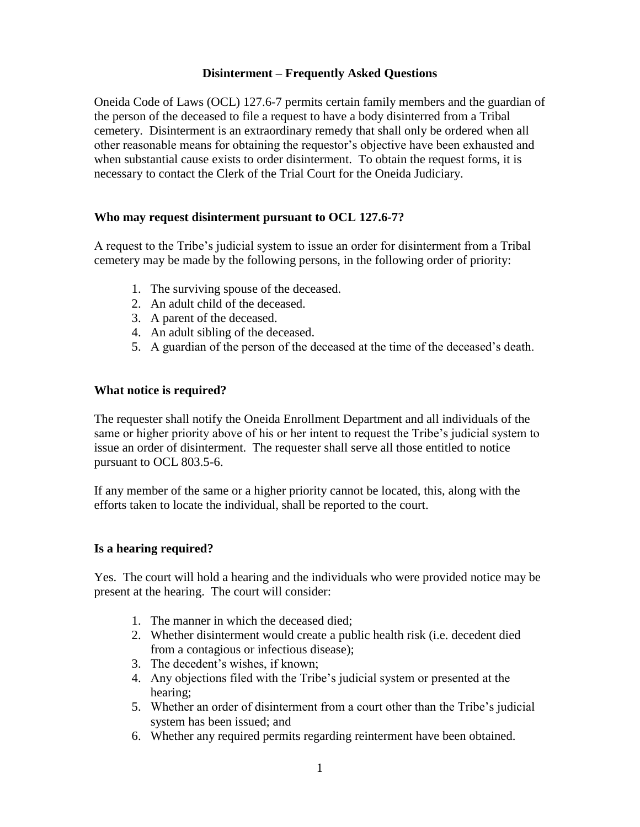## **Disinterment – Frequently Asked Questions**

Oneida Code of Laws (OCL) 127.6-7 permits certain family members and the guardian of the person of the deceased to file a request to have a body disinterred from a Tribal cemetery. Disinterment is an extraordinary remedy that shall only be ordered when all other reasonable means for obtaining the requestor's objective have been exhausted and when substantial cause exists to order disinterment. To obtain the request forms, it is necessary to contact the Clerk of the Trial Court for the Oneida Judiciary.

# **Who may request disinterment pursuant to OCL 127.6-7?**

A request to the Tribe's judicial system to issue an order for disinterment from a Tribal cemetery may be made by the following persons, in the following order of priority:

- 1. The surviving spouse of the deceased.
- 2. An adult child of the deceased.
- 3. A parent of the deceased.
- 4. An adult sibling of the deceased.
- 5. A guardian of the person of the deceased at the time of the deceased's death.

## **What notice is required?**

The requester shall notify the Oneida Enrollment Department and all individuals of the same or higher priority above of his or her intent to request the Tribe's judicial system to issue an order of disinterment. The requester shall serve all those entitled to notice pursuant to OCL 803.5-6.

If any member of the same or a higher priority cannot be located, this, along with the efforts taken to locate the individual, shall be reported to the court.

#### **Is a hearing required?**

Yes. The court will hold a hearing and the individuals who were provided notice may be present at the hearing. The court will consider:

- 1. The manner in which the deceased died;
- 2. Whether disinterment would create a public health risk (i.e. decedent died from a contagious or infectious disease);
- 3. The decedent's wishes, if known;
- 4. Any objections filed with the Tribe's judicial system or presented at the hearing;
- 5. Whether an order of disinterment from a court other than the Tribe's judicial system has been issued; and
- 6. Whether any required permits regarding reinterment have been obtained.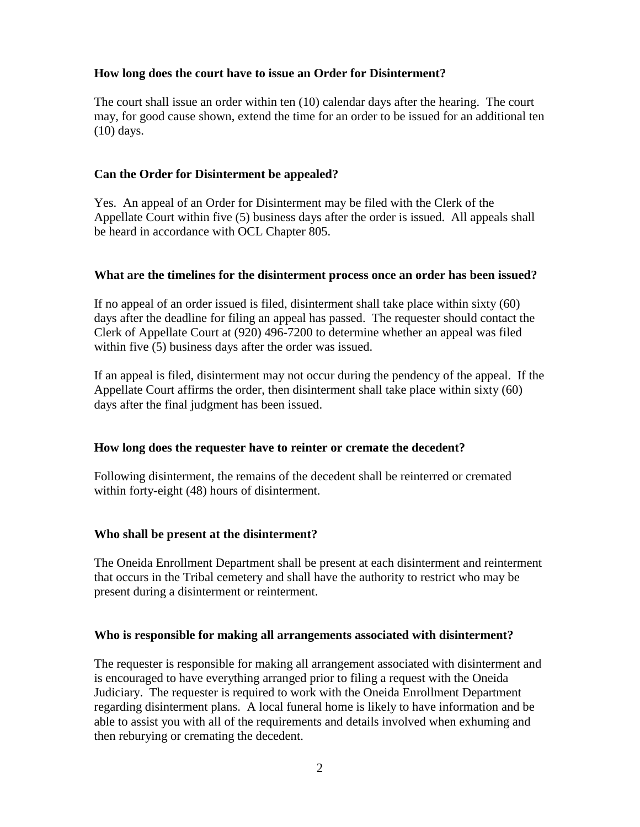## **How long does the court have to issue an Order for Disinterment?**

The court shall issue an order within ten (10) calendar days after the hearing. The court may, for good cause shown, extend the time for an order to be issued for an additional ten (10) days.

## **Can the Order for Disinterment be appealed?**

Yes. An appeal of an Order for Disinterment may be filed with the Clerk of the Appellate Court within five (5) business days after the order is issued. All appeals shall be heard in accordance with OCL Chapter 805.

#### **What are the timelines for the disinterment process once an order has been issued?**

If no appeal of an order issued is filed, disinterment shall take place within sixty (60) days after the deadline for filing an appeal has passed. The requester should contact the Clerk of Appellate Court at (920) 496-7200 to determine whether an appeal was filed within five (5) business days after the order was issued.

If an appeal is filed, disinterment may not occur during the pendency of the appeal. If the Appellate Court affirms the order, then disinterment shall take place within sixty (60) days after the final judgment has been issued.

#### **How long does the requester have to reinter or cremate the decedent?**

Following disinterment, the remains of the decedent shall be reinterred or cremated within forty-eight (48) hours of disinterment.

# **Who shall be present at the disinterment?**

The Oneida Enrollment Department shall be present at each disinterment and reinterment that occurs in the Tribal cemetery and shall have the authority to restrict who may be present during a disinterment or reinterment.

#### **Who is responsible for making all arrangements associated with disinterment?**

The requester is responsible for making all arrangement associated with disinterment and is encouraged to have everything arranged prior to filing a request with the Oneida Judiciary. The requester is required to work with the Oneida Enrollment Department regarding disinterment plans. A local funeral home is likely to have information and be able to assist you with all of the requirements and details involved when exhuming and then reburying or cremating the decedent.